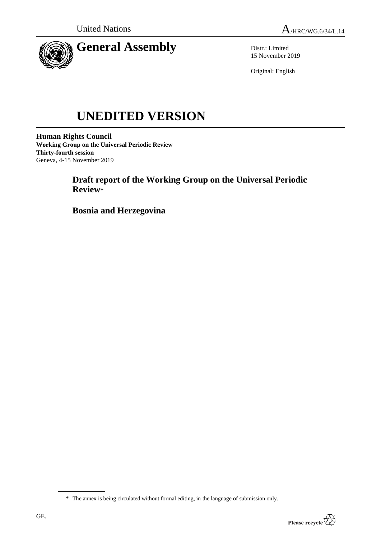

Distr.: Limited 15 November 2019

Original: English

# **UNEDITED VERSION**

**Human Rights Council Working Group on the Universal Periodic Review Thirty-fourth session** Geneva, 4-15 November 2019

> **Draft report of the Working Group on the Universal Periodic Review**\*

**Bosnia and Herzegovina**

<sup>\*</sup> The annex is being circulated without formal editing, in the language of submission only.

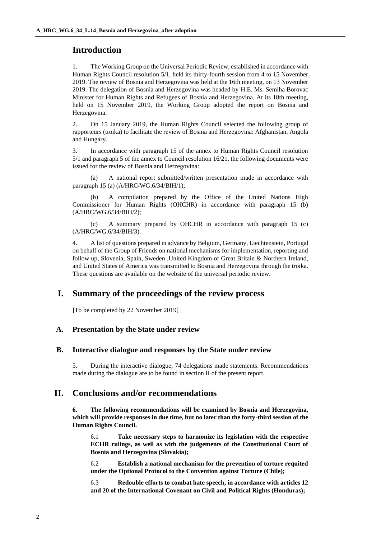## **Introduction**

1. The Working Group on the Universal Periodic Review, established in accordance with Human Rights Council resolution 5/1, held its thirty-fourth session from 4 to 15 November 2019. The review of Bosnia and Herzegovina was held at the 16th meeting, on 13 November 2019. The delegation of Bosnia and Herzegovina was headed by H.E. Ms. Semiha Borovac Minister for Human Rights and Refugees of Bosnia and Herzegovina. At its 18th meeting, held on 15 November 2019, the Working Group adopted the report on Bosnia and Herzegovina.

2. On 15 January 2019, the Human Rights Council selected the following group of rapporteurs (troika) to facilitate the review of Bosnia and Herzegovina: Afghanistan, Angola and Hungary.

3. In accordance with paragraph 15 of the annex to Human Rights Council resolution 5/1 and paragraph 5 of the annex to Council resolution 16/21, the following documents were issued for the review of Bosnia and Herzegovina:

(a) A national report submitted/written presentation made in accordance with paragraph 15 (a) (A/HRC/WG.6/34/BIH/1);

A compilation prepared by the Office of the United Nations High Commissioner for Human Rights (OHCHR) in accordance with paragraph 15 (b) (A/HRC/WG.6/34/BIH/2);

(c) A summary prepared by OHCHR in accordance with paragraph 15 (c) (A/HRC/WG.6/34/BIH/3).

4. A list of questions prepared in advance by Belgium, Germany, Liechtenstein, Portugal on behalf of the Group of Friends on national mechanisms for implementation, reporting and follow up, Slovenia, Spain, Sweden ,United Kingdom of Great Britain & Northern Ireland, and United States of America was transmitted to Bosnia and Herzegovina through the troika. These questions are available on the website of the universal periodic review.

## **I. Summary of the proceedings of the review process**

**[**To be completed by 22 November 2019]

#### **A. Presentation by the State under review**

#### **B. Interactive dialogue and responses by the State under review**

5. During the interactive dialogue, 74 delegations made statements. Recommendations made during the dialogue are to be found in section II of the present report.

## **II. Conclusions and/or recommendations**

**6. The following recommendations will be examined by Bosnia and Herzegovina, which will provide responses in due time, but no later than the forty-third session of the Human Rights Council.**

6.1 **Take necessary steps to harmonize its legislation with the respective ECHR rulings, as well as with the judgements of the Constitutional Court of Bosnia and Herzegovina (Slovakia);**

6.2 **Establish a national mechanism for the prevention of torture requited under the Optional Protocol to the Convention against Torture (Chile);**

6.3 **Redouble efforts to combat hate speech, in accordance with articles 12 and 20 of the International Covenant on Civil and Political Rights (Honduras);**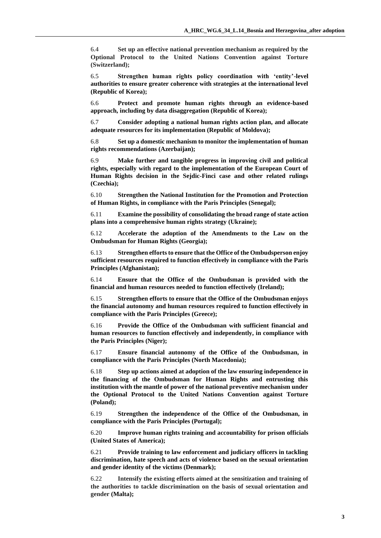6.4 **Set up an effective national prevention mechanism as required by the Optional Protocol to the United Nations Convention against Torture (Switzerland);** 

6.5 **Strengthen human rights policy coordination with 'entity'-level authorities to ensure greater coherence with strategies at the international level (Republic of Korea);**

6.6 **Protect and promote human rights through an evidence-based approach, including by data disaggregation (Republic of Korea);**

6.7 **Consider adopting a national human rights action plan, and allocate adequate resources for its implementation (Republic of Moldova);**

6.8 **Set up a domestic mechanism to monitor the implementation of human rights recommendations (Azerbaijan);** 

6.9 **Make further and tangible progress in improving civil and political rights, especially with regard to the implementation of the European Court of Human Rights decision in the Sejdic-Finci case and other related rulings (Czechia);**

6.10 **Strengthen the National Institution for the Promotion and Protection of Human Rights, in compliance with the Paris Principles (Senegal);**

6.11 **Examine the possibility of consolidating the broad range of state action plans into a comprehensive human rights strategy (Ukraine);**

6.12 **Accelerate the adoption of the Amendments to the Law on the Ombudsman for Human Rights (Georgia);**

6.13 **Strengthen efforts to ensure that the Office of the Ombudsperson enjoy sufficient resources required to function effectively in compliance with the Paris Principles (Afghanistan);**

6.14 **Ensure that the Office of the Ombudsman is provided with the financial and human resources needed to function effectively (Ireland);**

6.15 **Strengthen efforts to ensure that the Office of the Ombudsman enjoys the financial autonomy and human resources required to function effectively in compliance with the Paris Principles (Greece);**

6.16 **Provide the Office of the Ombudsman with sufficient financial and human resources to function effectively and independently, in compliance with the Paris Principles (Niger);**

6.17 **Ensure financial autonomy of the Office of the Ombudsman, in compliance with the Paris Principles (North Macedonia);**

6.18 **Step up actions aimed at adoption of the law ensuring independence in the financing of the Ombudsman for Human Rights and entrusting this institution with the mantle of power of the national preventive mechanism under the Optional Protocol to the United Nations Convention against Torture (Poland);**

6.19 **Strengthen the independence of the Office of the Ombudsman, in compliance with the Paris Principles (Portugal);**

6.20 **Improve human rights training and accountability for prison officials (United States of America);**

6.21 **Provide training to law enforcement and judiciary officers in tackling discrimination, hate speech and acts of violence based on the sexual orientation and gender identity of the victims (Denmark);**

6.22 **Intensify the existing efforts aimed at the sensitization and training of the authorities to tackle discrimination on the basis of sexual orientation and gender (Malta);**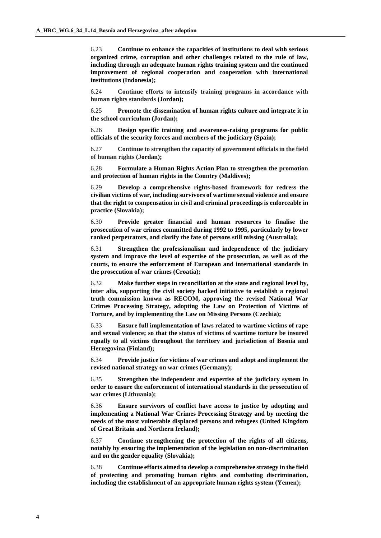6.23 **Continue to enhance the capacities of institutions to deal with serious organized crime, corruption and other challenges related to the rule of law, including through an adequate human rights training system and the continued improvement of regional cooperation and cooperation with international institutions (Indonesia);**

6.24 **Continue efforts to intensify training programs in accordance with human rights standards (Jordan);**

6.25 **Promote the dissemination of human rights culture and integrate it in the school curriculum (Jordan);**

6.26 **Design specific training and awareness-raising programs for public officials of the security forces and members of the judiciary (Spain);**

6.27 **Continue to strengthen the capacity of government officials in the field of human rights (Jordan);**

6.28 **Formulate a Human Rights Action Plan to strengthen the promotion and protection of human rights in the Country (Maldives);**

6.29 **Develop a comprehensive rights-based framework for redress the civilian victims of war, including survivors of wartime sexual violence and ensure that the right to compensation in civil and criminal proceedings is enforceable in practice (Slovakia);**

6.30 **Provide greater financial and human resources to finalise the prosecution of war crimes committed during 1992 to 1995, particularly by lower ranked perpetrators, and clarify the fate of persons still missing (Australia);**

6.31 **Strengthen the professionalism and independence of the judiciary system and improve the level of expertise of the prosecution, as well as of the courts, to ensure the enforcement of European and international standards in the prosecution of war crimes (Croatia);**

6.32 **Make further steps in reconciliation at the state and regional level by, inter alia, supporting the civil society backed initiative to establish a regional truth commission known as RECOM, approving the revised National War Crimes Processing Strategy, adopting the Law on Protection of Victims of Torture, and by implementing the Law on Missing Persons (Czechia);**

6.33 **Ensure full implementation of laws related to wartime victims of rape and sexual violence; so that the status of victims of wartime torture be insured equally to all victims throughout the territory and jurisdiction of Bosnia and Herzegovina (Finland);**

6.34 **Provide justice for victims of war crimes and adopt and implement the revised national strategy on war crimes (Germany);**

6.35 **Strengthen the independent and expertise of the judiciary system in order to ensure the enforcement of international standards in the prosecution of war crimes (Lithuania);**

6.36 **Ensure survivors of conflict have access to justice by adopting and implementing a National War Crimes Processing Strategy and by meeting the needs of the most vulnerable displaced persons and refugees (United Kingdom of Great Britain and Northern Ireland);**

6.37 **Continue strengthening the protection of the rights of all citizens, notably by ensuring the implementation of the legislation on non-discrimination and on the gender equality (Slovakia);**

6.38 **Continue efforts aimed to develop a comprehensive strategy in the field of protecting and promoting human rights and combating discrimination, including the establishment of an appropriate human rights system (Yemen);**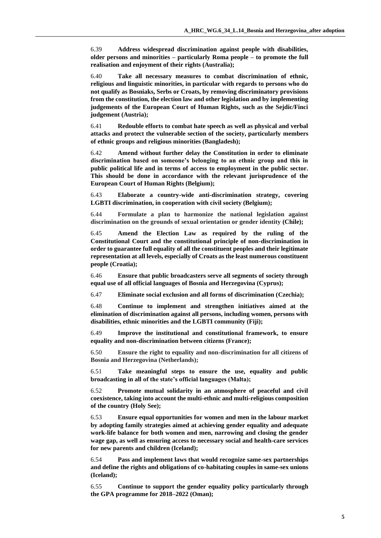6.39 **Address widespread discrimination against people with disabilities, older persons and minorities – particularly Roma people – to promote the full realisation and enjoyment of their rights (Australia);**

6.40 **Take all necessary measures to combat discrimination of ethnic, religious and linguistic minorities, in particular with regards to persons who do not qualify as Bosniaks, Serbs or Croats, by removing discriminatory provisions from the constitution, the election law and other legislation and by implementing judgements of the European Court of Human Rights, such as the Sejdic/Finci judgement (Austria);**

6.41 **Redouble efforts to combat hate speech as well as physical and verbal attacks and protect the vulnerable section of the society, particularly members of ethnic groups and religious minorities (Bangladesh);**

6.42 **Amend without further delay the Constitution in order to eliminate discrimination based on someone's belonging to an ethnic group and this in public political life and in terms of access to employment in the public sector. This should be done in accordance with the relevant jurisprudence of the European Court of Human Rights (Belgium);**

6.43 **Elaborate a country-wide anti-discrimination strategy, covering LGBTI discrimination, in cooperation with civil society (Belgium);**

6.44 **Formulate a plan to harmonize the national legislation against discrimination on the grounds of sexual orientation or gender identity (Chile);**

6.45 **Amend the Election Law as required by the ruling of the Constitutional Court and the constitutional principle of non-discrimination in order to guarantee full equality of all the constituent peoples and their legitimate representation at all levels, especially of Croats as the least numerous constituent people (Croatia);**

6.46 **Ensure that public broadcasters serve all segments of society through equal use of all official languages of Bosnia and Herzegovina (Cyprus);**

6.47 **Eliminate social exclusion and all forms of discrimination (Czechia);**

6.48 **Continue to implement and strengthen initiatives aimed at the elimination of discrimination against all persons, including women, persons with disabilities, ethnic minorities and the LGBTI community (Fiji);**

6.49 **Improve the institutional and constitutional framework, to ensure equality and non-discrimination between citizens (France);**

6.50 **Ensure the right to equality and non-discrimination for all citizens of Bosnia and Herzegovina (Netherlands);**

6.51 **Take meaningful steps to ensure the use, equality and public broadcasting in all of the state's official languages (Malta);**

6.52 **Promote mutual solidarity in an atmosphere of peaceful and civil coexistence, taking into account the multi-ethnic and multi-religious composition of the country (Holy See);**

6.53 **Ensure equal opportunities for women and men in the labour market by adopting family strategies aimed at achieving gender equality and adequate work-life balance for both women and men, narrowing and closing the gender wage gap, as well as ensuring access to necessary social and health-care services for new parents and children (Iceland);**

6.54 **Pass and implement laws that would recognize same-sex partnerships and define the rights and obligations of co-habitating couples in same-sex unions (Iceland);**

6.55 **Continue to support the gender equality policy particularly through the GPA programme for 2018–2022 (Oman);**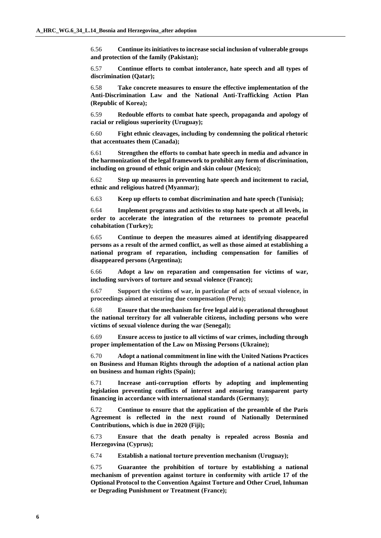6.56 **Continue its initiatives to increase social inclusion of vulnerable groups and protection of the family (Pakistan);**

6.57 **Continue efforts to combat intolerance, hate speech and all types of discrimination (Qatar);**

6.58 **Take concrete measures to ensure the effective implementation of the Anti-Discrimination Law and the National Anti-Trafficking Action Plan (Republic of Korea);**

6.59 **Redouble efforts to combat hate speech, propaganda and apology of racial or religious superiority (Uruguay);**

6.60 **Fight ethnic cleavages, including by condemning the political rhetoric that accentuates them (Canada);**

6.61 **Strengthen the efforts to combat hate speech in media and advance in the harmonization of the legal framework to prohibit any form of discrimination, including on ground of ethnic origin and skin colour (Mexico);**

6.62 **Step up measures in preventing hate speech and incitement to racial, ethnic and religious hatred (Myanmar);**

6.63 **Keep up efforts to combat discrimination and hate speech (Tunisia);**

6.64 **Implement programs and activities to stop hate speech at all levels, in order to accelerate the integration of the returnees to promote peaceful cohabitation (Turkey);**

6.65 **Continue to deepen the measures aimed at identifying disappeared persons as a result of the armed conflict, as well as those aimed at establishing a national program of reparation, including compensation for families of disappeared persons (Argentina);**

6.66 **Adopt a law on reparation and compensation for victims of war, including survivors of torture and sexual violence (France);**

6.67 **Support the victims of war, in particular of acts of sexual violence, in proceedings aimed at ensuring due compensation (Peru);**

6.68 **Ensure that the mechanism for free legal aid is operational throughout the national territory for all vulnerable citizens, including persons who were victims of sexual violence during the war (Senegal);**

6.69 **Ensure access to justice to all victims of war crimes, including through proper implementation of the Law on Missing Persons (Ukraine);**

6.70 **Adopt a national commitment in line with the United Nations Practices on Business and Human Rights through the adoption of a national action plan on business and human rights (Spain);**

6.71 **Increase anti-corruption efforts by adopting and implementing legislation preventing conflicts of interest and ensuring transparent party financing in accordance with international standards (Germany);**

6.72 **Continue to ensure that the application of the preamble of the Paris Agreement is reflected in the next round of Nationally Determined Contributions, which is due in 2020 (Fiji);**

6.73 **Ensure that the death penalty is repealed across Bosnia and Herzegovina (Cyprus);**

6.74 **Establish a national torture prevention mechanism (Uruguay);**

6.75 **Guarantee the prohibition of torture by establishing a national mechanism of prevention against torture in conformity with article 17 of the Optional Protocol to the Convention Against Torture and Other Cruel, Inhuman or Degrading Punishment or Treatment (France);**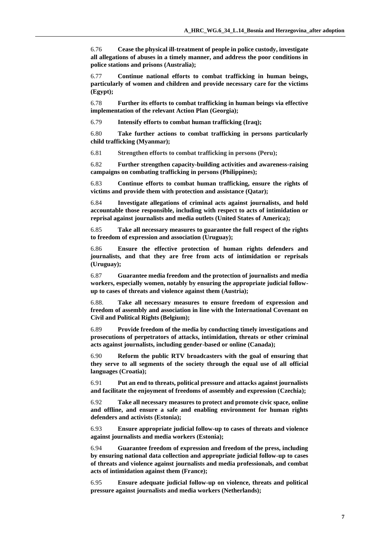6.76 **Cease the physical ill-treatment of people in police custody, investigate all allegations of abuses in a timely manner, and address the poor conditions in police stations and prisons (Australia);**

6.77 **Continue national efforts to combat trafficking in human beings, particularly of women and children and provide necessary care for the victims (Egypt);**

6.78 **Further its efforts to combat trafficking in human beings via effective implementation of the relevant Action Plan (Georgia);**

6.79 **Intensify efforts to combat human trafficking (Iraq);**

6.80 **Take further actions to combat trafficking in persons particularly child trafficking (Myanmar);**

6.81 **Strengthen efforts to combat trafficking in persons (Peru);**

6.82 **Further strengthen capacity-building activities and awareness-raising campaigns on combating trafficking in persons (Philippines);**

6.83 **Continue efforts to combat human trafficking, ensure the rights of victims and provide them with protection and assistance (Qatar);**

6.84 **Investigate allegations of criminal acts against journalists, and hold accountable those responsible, including with respect to acts of intimidation or reprisal against journalists and media outlets (United States of America);**

6.85 **Take all necessary measures to guarantee the full respect of the rights to freedom of expression and association (Uruguay);**

6.86 **Ensure the effective protection of human rights defenders and journalists, and that they are free from acts of intimidation or reprisals (Uruguay);**

6.87 **Guarantee media freedom and the protection of journalists and media workers, especially women, notably by ensuring the appropriate judicial followup to cases of threats and violence against them (Austria);**

6.88. **Take all necessary measures to ensure freedom of expression and freedom of assembly and association in line with the International Covenant on Civil and Political Rights (Belgium);**

6.89 **Provide freedom of the media by conducting timely investigations and prosecutions of perpetrators of attacks, intimidation, threats or other criminal acts against journalists, including gender-based or online (Canada);**

6.90 **Reform the public RTV broadcasters with the goal of ensuring that they serve to all segments of the society through the equal use of all official languages (Croatia);**

6.91 **Put an end to threats, political pressure and attacks against journalists and facilitate the enjoyment of freedoms of assembly and expression (Czechia);**

6.92 **Take all necessary measures to protect and promote civic space, online and offline, and ensure a safe and enabling environment for human rights defenders and activists (Estonia);**

6.93 **Ensure appropriate judicial follow-up to cases of threats and violence against journalists and media workers (Estonia);**

6.94 **Guarantee freedom of expression and freedom of the press, including by ensuring national data collection and appropriate judicial follow-up to cases of threats and violence against journalists and media professionals, and combat acts of intimidation against them (France);**

6.95 **Ensure adequate judicial follow-up on violence, threats and political pressure against journalists and media workers (Netherlands);**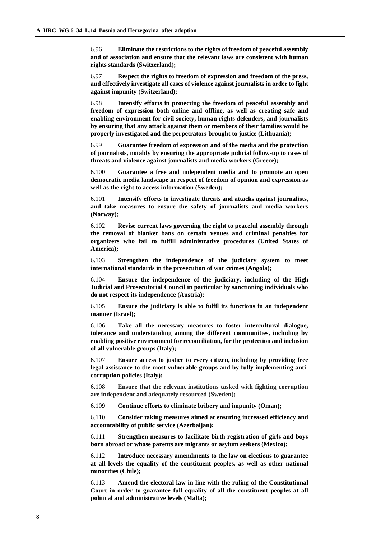6.96 **Eliminate the restrictions to the rights of freedom of peaceful assembly and of association and ensure that the relevant laws are consistent with human rights standards (Switzerland);**

6.97 **Respect the rights to freedom of expression and freedom of the press, and effectively investigate all cases of violence against journalists in order to fight against impunity (Switzerland);**

6.98 **Intensify efforts in protecting the freedom of peaceful assembly and freedom of expression both online and offline, as well as creating safe and enabling environment for civil society, human rights defenders, and journalists by ensuring that any attack against them or members of their families would be properly investigated and the perpetrators brought to justice (Lithuania);**

6.99 **Guarantee freedom of expression and of the media and the protection of journalists, notably by ensuring the appropriate judicial follow-up to cases of threats and violence against journalists and media workers (Greece);**

6.100 **Guarantee a free and independent media and to promote an open democratic media landscape in respect of freedom of opinion and expression as well as the right to access information (Sweden);**

6.101 **Intensify efforts to investigate threats and attacks against journalists, and take measures to ensure the safety of journalists and media workers (Norway);**

6.102 **Revise current laws governing the right to peaceful assembly through the removal of blanket bans on certain venues and criminal penalties for organizers who fail to fulfill administrative procedures (United States of America);**

6.103 **Strengthen the independence of the judiciary system to meet international standards in the prosecution of war crimes (Angola);**

6.104 **Ensure the independence of the judiciary, including of the High Judicial and Prosecutorial Council in particular by sanctioning individuals who do not respect its independence (Austria);**

6.105 **Ensure the judiciary is able to fulfil its functions in an independent manner (Israel);**

6.106 **Take all the necessary measures to foster intercultural dialogue, tolerance and understanding among the different communities, including by enabling positive environment for reconciliation, for the protection and inclusion of all vulnerable groups (Italy);**

6.107 **Ensure access to justice to every citizen, including by providing free legal assistance to the most vulnerable groups and by fully implementing anticorruption policies (Italy);**

6.108 **Ensure that the relevant institutions tasked with fighting corruption are independent and adequately resourced (Sweden);**

6.109 **Continue efforts to eliminate bribery and impunity (Oman);**

6.110 **Consider taking measures aimed at ensuring increased efficiency and accountability of public service (Azerbaijan);**

6.111 **Strengthen measures to facilitate birth registration of girls and boys born abroad or whose parents are migrants or asylum seekers (Mexico);**

6.112 **Introduce necessary amendments to the law on elections to guarantee at all levels the equality of the constituent peoples, as well as other national minorities (Chile);**

6.113 **Amend the electoral law in line with the ruling of the Constitutional Court in order to guarantee full equality of all the constituent peoples at all political and administrative levels (Malta);**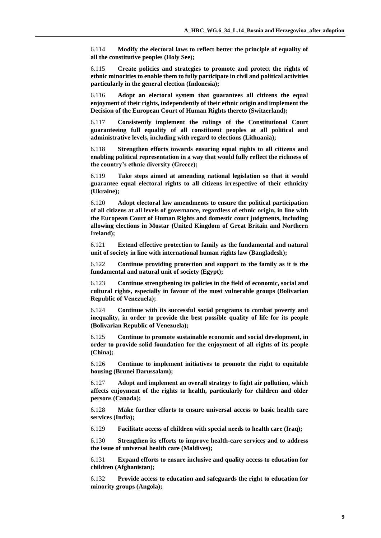6.114 **Modify the electoral laws to reflect better the principle of equality of all the constitutive peoples (Holy See);**

6.115 **Create policies and strategies to promote and protect the rights of ethnic minorities to enable them to fully participate in civil and political activities particularly in the general election (Indonesia);**

6.116 **Adopt an electoral system that guarantees all citizens the equal enjoyment of their rights, independently of their ethnic origin and implement the Decision of the European Court of Human Rights thereto (Switzerland);**

6.117 **Consistently implement the rulings of the Constitutional Court guaranteeing full equality of all constituent peoples at all political and administrative levels, including with regard to elections (Lithuania);**

6.118 **Strengthen efforts towards ensuring equal rights to all citizens and enabling political representation in a way that would fully reflect the richness of the country's ethnic diversity (Greece);**

6.119 **Take steps aimed at amending national legislation so that it would guarantee equal electoral rights to all citizens irrespective of their ethnicity (Ukraine);**

6.120 **Adopt electoral law amendments to ensure the political participation of all citizens at all levels of governance, regardless of ethnic origin, in line with the European Court of Human Rights and domestic court judgments, including allowing elections in Mostar (United Kingdom of Great Britain and Northern Ireland);**

6.121 **Extend effective protection to family as the fundamental and natural unit of society in line with international human rights law (Bangladesh);**

6.122 **Continue providing protection and support to the family as it is the fundamental and natural unit of society (Egypt);**

6.123 **Continue strengthening its policies in the field of economic, social and cultural rights, especially in favour of the most vulnerable groups (Bolivarian Republic of Venezuela);**

6.124 **Continue with its successful social programs to combat poverty and inequality, in order to provide the best possible quality of life for its people (Bolivarian Republic of Venezuela);**

6.125 **Continue to promote sustainable economic and social development, in order to provide solid foundation for the enjoyment of all rights of its people (China);**

6.126 **Continue to implement initiatives to promote the right to equitable housing (Brunei Darussalam);**

6.127 **Adopt and implement an overall strategy to fight air pollution, which affects enjoyment of the rights to health, particularly for children and older persons (Canada);**

6.128 **Make further efforts to ensure universal access to basic health care services (India);**

6.129 **Facilitate access of children with special needs to health care (Iraq);**

6.130 **Strengthen its efforts to improve health-care services and to address the issue of universal health care (Maldives);**

6.131 **Expand efforts to ensure inclusive and quality access to education for children (Afghanistan);**

6.132 **Provide access to education and safeguards the right to education for minority groups (Angola);**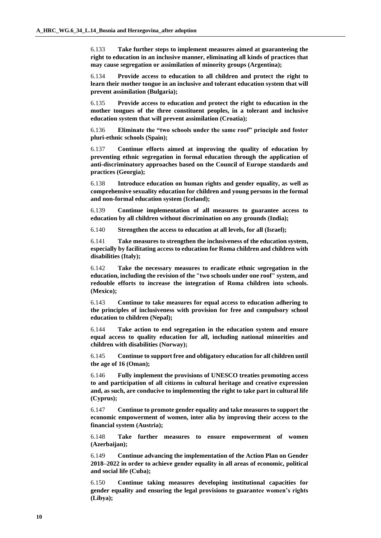6.133 **Take further steps to implement measures aimed at guaranteeing the right to education in an inclusive manner, eliminating all kinds of practices that may cause segregation or assimilation of minority groups (Argentina);**

6.134 **Provide access to education to all children and protect the right to learn their mother tongue in an inclusive and tolerant education system that will prevent assimilation (Bulgaria);**

6.135 **Provide access to education and protect the right to education in the mother tongues of the three constituent peoples, in a tolerant and inclusive education system that will prevent assimilation (Croatia);**

6.136 **Eliminate the "two schools under the same roof" principle and foster pluri-ethnic schools (Spain);**

6.137 **Continue efforts aimed at improving the quality of education by preventing ethnic segregation in formal education through the application of anti-discriminatory approaches based on the Council of Europe standards and practices (Georgia);**

6.138 **Introduce education on human rights and gender equality, as well as comprehensive sexuality education for children and young persons in the formal and non-formal education system (Iceland);**

6.139 **Continue implementation of all measures to guarantee access to education by all children without discrimination on any grounds (India);**

6.140 **Strengthen the access to education at all levels, for all (Israel);**

6.141 **Take measures to strengthen the inclusiveness of the education system, especially by facilitating access to education for Roma children and children with disabilities (Italy);**

6.142 **Take the necessary measures to eradicate ethnic segregation in the education, including the revision of the "two schools under one roof" system, and redouble efforts to increase the integration of Roma children into schools. (Mexico);**

6.143 **Continue to take measures for equal access to education adhering to the principles of inclusiveness with provision for free and compulsory school education to children (Nepal);**

6.144 **Take action to end segregation in the education system and ensure equal access to quality education for all, including national minorities and children with disabilities (Norway);**

6.145 **Continue to support free and obligatory education for all children until the age of 16 (Oman);**

6.146 **Fully implement the provisions of UNESCO treaties promoting access to and participation of all citizens in cultural heritage and creative expression and, as such, are conducive to implementing the right to take part in cultural life (Cyprus);**

6.147 **Continue to promote gender equality and take measures to support the economic empowerment of women, inter alia by improving their access to the financial system (Austria);**

6.148 **Take further measures to ensure empowerment of women (Azerbaijan);**

6.149 **Continue advancing the implementation of the Action Plan on Gender 2018–2022 in order to achieve gender equality in all areas of economic, political and social life (Cuba);**

6.150 **Continue taking measures developing institutional capacities for gender equality and ensuring the legal provisions to guarantee women's rights (Libya);**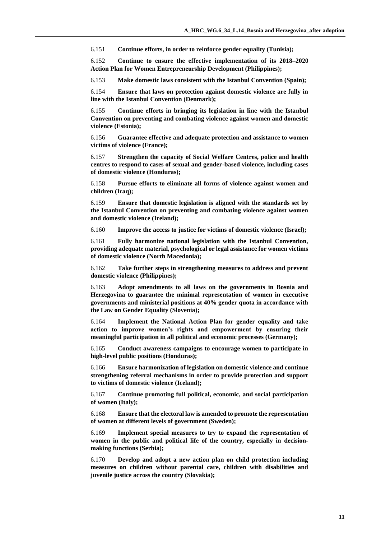6.151 **Continue efforts, in order to reinforce gender equality (Tunisia);**

6.152 **Continue to ensure the effective implementation of its 2018–2020 Action Plan for Women Entrepreneurship Development (Philippines);**

6.153 **Make domestic laws consistent with the Istanbul Convention (Spain);**

6.154 **Ensure that laws on protection against domestic violence are fully in line with the Istanbul Convention (Denmark);**

6.155 **Continue efforts in bringing its legislation in line with the Istanbul Convention on preventing and combating violence against women and domestic violence (Estonia);**

6.156 **Guarantee effective and adequate protection and assistance to women victims of violence (France);**

6.157 **Strengthen the capacity of Social Welfare Centres, police and health centres to respond to cases of sexual and gender-based violence, including cases of domestic violence (Honduras);**

6.158 **Pursue efforts to eliminate all forms of violence against women and children (Iraq);**

6.159 **Ensure that domestic legislation is aligned with the standards set by the Istanbul Convention on preventing and combating violence against women and domestic violence (Ireland);**

6.160 **Improve the access to justice for victims of domestic violence (Israel);**

6.161 **Fully harmonize national legislation with the Istanbul Convention, providing adequate material, psychological or legal assistance for women victims of domestic violence (North Macedonia);**

6.162 **Take further steps in strengthening measures to address and prevent domestic violence (Philippines);**

6.163 **Adopt amendments to all laws on the governments in Bosnia and Herzegovina to guarantee the minimal representation of women in executive governments and ministerial positions at 40% gender quota in accordance with the Law on Gender Equality (Slovenia);**

6.164 **Implement the National Action Plan for gender equality and take action to improve women's rights and empowerment by ensuring their meaningful participation in all political and economic processes (Germany);**

6.165 **Conduct awareness campaigns to encourage women to participate in high-level public positions (Honduras);**

6.166 **Ensure harmonization of legislation on domestic violence and continue strengthening referral mechanisms in order to provide protection and support to victims of domestic violence (Iceland);**

6.167 **Continue promoting full political, economic, and social participation of women (Italy);**

6.168 **Ensure that the electoral law is amended to promote the representation of women at different levels of government (Sweden);**

6.169 **Implement special measures to try to expand the representation of women in the public and political life of the country, especially in decisionmaking functions (Serbia);**

6.170 **Develop and adopt a new action plan on child protection including measures on children without parental care, children with disabilities and juvenile justice across the country (Slovakia);**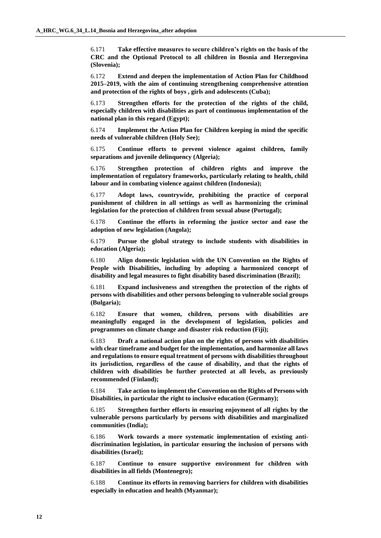6.171 **Take effective measures to secure children's rights on the basis of the CRC and the Optional Protocol to all children in Bosnia and Herzegovina (Slovenia);**

6.172 **Extend and deepen the implementation of Action Plan for Childhood 2015–2019, with the aim of continuing strengthening comprehensive attention and protection of the rights of boys , girls and adolescents (Cuba);**

6.173 **Strengthen efforts for the protection of the rights of the child, especially children with disabilities as part of continuous implementation of the national plan in this regard (Egypt);**

6.174 **Implement the Action Plan for Children keeping in mind the specific needs of vulnerable children (Holy See);**

6.175 **Continue efforts to prevent violence against children, family separations and juvenile delinquency (Algeria);**

6.176 **Strengthen protection of children rights and improve the implementation of regulatory frameworks, particularly relating to health, child labour and in combating violence against children (Indonesia);**

6.177 **Adopt laws, countrywide, prohibiting the practice of corporal punishment of children in all settings as well as harmonizing the criminal legislation for the protection of children from sexual abuse (Portugal);**

6.178 **Continue the efforts in reforming the justice sector and ease the adoption of new legislation (Angola);**

6.179 **Pursue the global strategy to include students with disabilities in education (Algeria);**

6.180 **Align domestic legislation with the UN Convention on the Rights of People with Disabilities, including by adopting a harmonized concept of disability and legal measures to fight disability based discrimination (Brazil);**

6.181 **Expand inclusiveness and strengthen the protection of the rights of persons with disabilities and other persons belonging to vulnerable social groups (Bulgaria);**

6.182 **Ensure that women, children, persons with disabilities are meaningfully engaged in the development of legislation, policies and programmes on climate change and disaster risk reduction (Fiji);**

6.183 **Draft a national action plan on the rights of persons with disabilities with clear timeframe and budget for the implementation, and harmonize all laws and regulations to ensure equal treatment of persons with disabilities throughout its jurisdiction, regardless of the cause of disability, and that the rights of children with disabilities be further protected at all levels, as previously recommended (Finland);**

6.184 **Take action to implement the Convention on the Rights of Persons with Disabilities, in particular the right to inclusive education (Germany);**

6.185 **Strengthen further efforts in ensuring enjoyment of all rights by the vulnerable persons particularly by persons with disabilities and marginalized communities (India);**

6.186 **Work towards a more systematic implementation of existing antidiscrimination legislation, in particular ensuring the inclusion of persons with disabilities (Israel);**

6.187 **Continue to ensure supportive environment for children with disabilities in all fields (Montenegro);**

6.188 **Continue its efforts in removing barriers for children with disabilities especially in education and health (Myanmar);**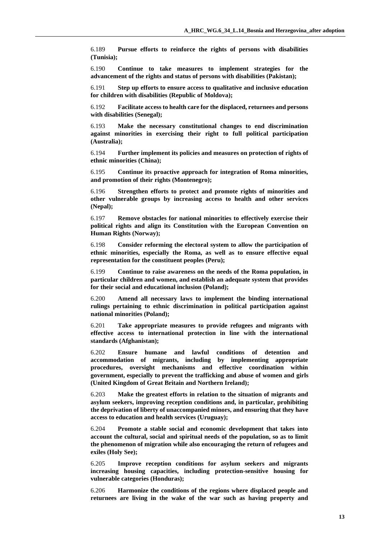6.189 **Pursue efforts to reinforce the rights of persons with disabilities (Tunisia);**

6.190 **Continue to take measures to implement strategies for the advancement of the rights and status of persons with disabilities (Pakistan);**

6.191 **Step up efforts to ensure access to qualitative and inclusive education for children with disabilities (Republic of Moldova);**

6.192 **Facilitate access to health care for the displaced, returnees and persons with disabilities (Senegal);**

6.193 **Make the necessary constitutional changes to end discrimination against minorities in exercising their right to full political participation (Australia);**

6.194 **Further implement its policies and measures on protection of rights of ethnic minorities (China);**

6.195 **Continue its proactive approach for integration of Roma minorities, and promotion of their rights (Montenegro);**

6.196 **Strengthen efforts to protect and promote rights of minorities and other vulnerable groups by increasing access to health and other services (Nepal);**

6.197 **Remove obstacles for national minorities to effectively exercise their political rights and align its Constitution with the European Convention on Human Rights (Norway);**

6.198 **Consider reforming the electoral system to allow the participation of ethnic minorities, especially the Roma, as well as to ensure effective equal representation for the constituent peoples (Peru);**

6.199 **Continue to raise awareness on the needs of the Roma population, in particular children and women, and establish an adequate system that provides for their social and educational inclusion (Poland);**

6.200 **Amend all necessary laws to implement the binding international rulings pertaining to ethnic discrimination in political participation against national minorities (Poland);**

6.201 **Take appropriate measures to provide refugees and migrants with effective access to international protection in line with the international standards (Afghanistan);**

6.202 **Ensure humane and lawful conditions of detention and accommodation of migrants, including by implementing appropriate procedures, oversight mechanisms and effective coordination within government, especially to prevent the trafficking and abuse of women and girls (United Kingdom of Great Britain and Northern Ireland);**

6.203 **Make the greatest efforts in relation to the situation of migrants and asylum seekers, improving reception conditions and, in particular, prohibiting the deprivation of liberty of unaccompanied minors, and ensuring that they have access to education and health services (Uruguay);**

6.204 **Promote a stable social and economic development that takes into account the cultural, social and spiritual needs of the population, so as to limit the phenomenon of migration while also encouraging the return of refugees and exiles (Holy See);**

6.205 **Improve reception conditions for asylum seekers and migrants increasing housing capacities, including protection-sensitive housing for vulnerable categories (Honduras);**

6.206 **Harmonize the conditions of the regions where displaced people and returnees are living in the wake of the war such as having property and**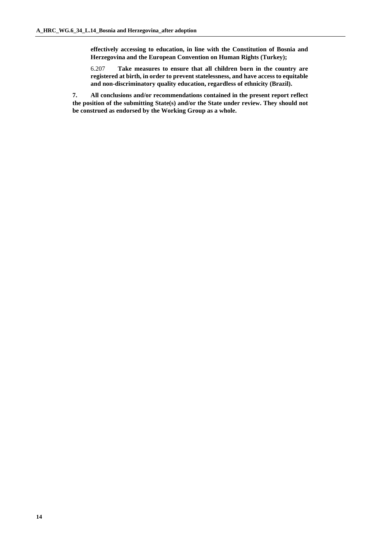**effectively accessing to education, in line with the Constitution of Bosnia and Herzegovina and the European Convention on Human Rights (Turkey);**

6.207 **Take measures to ensure that all children born in the country are registered at birth, in order to prevent statelessness, and have access to equitable and non-discriminatory quality education, regardless of ethnicity (Brazil).**

**7. All conclusions and/or recommendations contained in the present report reflect the position of the submitting State(s) and/or the State under review. They should not be construed as endorsed by the Working Group as a whole.**